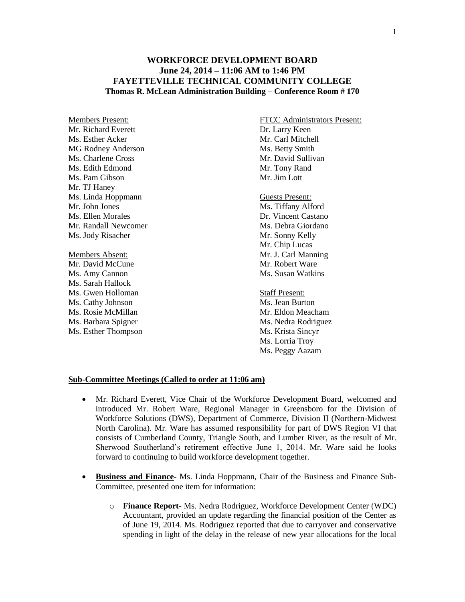## **WORKFORCE DEVELOPMENT BOARD June 24, 2014 – 11:06 AM to 1:46 PM FAYETTEVILLE TECHNICAL COMMUNITY COLLEGE Thomas R. McLean Administration Building – Conference Room # 170**

Mr. Richard Everett Dr. Larry Keen Ms. Esther Acker Mr. Carl Mitchell MG Rodney Anderson Ms. Betty Smith Ms. Charlene Cross Mr. David Sullivan Ms. Edith Edmond Mr. Tony Rand Ms. Pam Gibson Mr. Jim Lott Mr. TJ Haney Ms. Linda Hoppmann Guests Present: Mr. John Jones Ms. Tiffany Alford Ms. Ellen Morales Dr. Vincent Castano Mr. Randall Newcomer Ms. Debra Giordano Ms. Jody Risacher Mr. Sonny Kelly

Ms. Amy Cannon Ms. Susan Watkins Ms. Sarah Hallock Ms. Gwen Holloman Staff Present: Ms. Cathy Johnson Ms. Jean Burton Ms. Rosie McMillan Mr. Eldon Meacham Ms. Barbara Spigner Ms. Nedra Rodriguez Ms. Esther Thompson Ms. Krista Sincyr

Members Present: FTCC Administrators Present:

Mr. Chip Lucas Members Absent: Mr. J. Carl Manning Mr. David McCune Mr. Robert Ware

Ms. Lorria Troy Ms. Peggy Aazam

## **Sub-Committee Meetings (Called to order at 11:06 am)**

- Mr. Richard Everett, Vice Chair of the Workforce Development Board, welcomed and introduced Mr. Robert Ware, Regional Manager in Greensboro for the Division of Workforce Solutions (DWS), Department of Commerce, Division II (Northern-Midwest North Carolina). Mr. Ware has assumed responsibility for part of DWS Region VI that consists of Cumberland County, Triangle South, and Lumber River, as the result of Mr. Sherwood Southerland's retirement effective June 1, 2014. Mr. Ware said he looks forward to continuing to build workforce development together.
- **Business and Finance-** Ms. Linda Hoppmann, Chair of the Business and Finance Sub-Committee, presented one item for information:
	- o **Finance Report** Ms. Nedra Rodriguez, Workforce Development Center (WDC) Accountant, provided an update regarding the financial position of the Center as of June 19, 2014. Ms. Rodriguez reported that due to carryover and conservative spending in light of the delay in the release of new year allocations for the local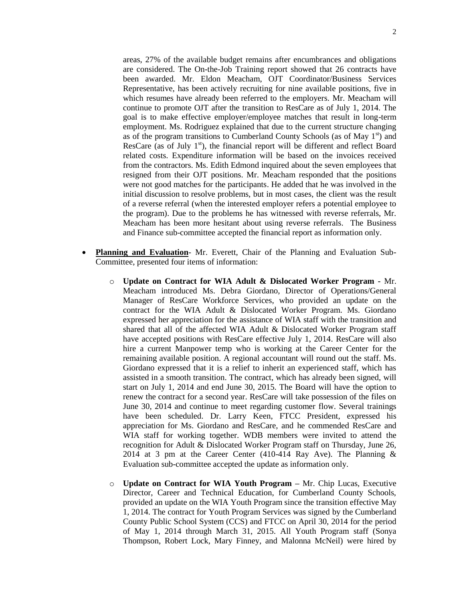areas, 27% of the available budget remains after encumbrances and obligations are considered. The On-the-Job Training report showed that 26 contracts have been awarded. Mr. Eldon Meacham, OJT Coordinator/Business Services Representative, has been actively recruiting for nine available positions, five in which resumes have already been referred to the employers. Mr. Meacham will continue to promote OJT after the transition to ResCare as of July 1, 2014. The goal is to make effective employer/employee matches that result in long-term employment. Ms. Rodriguez explained that due to the current structure changing as of the program transitions to Cumberland County Schools (as of May  $1<sup>st</sup>$ ) and ResCare (as of July  $1<sup>st</sup>$ ), the financial report will be different and reflect Board related costs. Expenditure information will be based on the invoices received from the contractors. Ms. Edith Edmond inquired about the seven employees that resigned from their OJT positions. Mr. Meacham responded that the positions were not good matches for the participants. He added that he was involved in the initial discussion to resolve problems, but in most cases, the client was the result of a reverse referral (when the interested employer refers a potential employee to the program). Due to the problems he has witnessed with reverse referrals, Mr. Meacham has been more hesitant about using reverse referrals. The Business and Finance sub-committee accepted the financial report as information only.

- **Planning and Evaluation** Mr. Everett, Chair of the Planning and Evaluation Sub-Committee, presented four items of information:
	- o **Update on Contract for WIA Adult & Dislocated Worker Program -** Mr. Meacham introduced Ms. Debra Giordano, Director of Operations/General Manager of ResCare Workforce Services, who provided an update on the contract for the WIA Adult & Dislocated Worker Program. Ms. Giordano expressed her appreciation for the assistance of WIA staff with the transition and shared that all of the affected WIA Adult & Dislocated Worker Program staff have accepted positions with ResCare effective July 1, 2014. ResCare will also hire a current Manpower temp who is working at the Career Center for the remaining available position. A regional accountant will round out the staff. Ms. Giordano expressed that it is a relief to inherit an experienced staff, which has assisted in a smooth transition. The contract, which has already been signed, will start on July 1, 2014 and end June 30, 2015. The Board will have the option to renew the contract for a second year. ResCare will take possession of the files on June 30, 2014 and continue to meet regarding customer flow. Several trainings have been scheduled. Dr. Larry Keen, FTCC President, expressed his appreciation for Ms. Giordano and ResCare, and he commended ResCare and WIA staff for working together. WDB members were invited to attend the recognition for Adult & Dislocated Worker Program staff on Thursday, June 26, 2014 at 3 pm at the Career Center  $(410-414 \text{ Ray Ave})$ . The Planning & Evaluation sub-committee accepted the update as information only.
	- o **Update on Contract for WIA Youth Program –** Mr. Chip Lucas, Executive Director, Career and Technical Education, for Cumberland County Schools, provided an update on the WIA Youth Program since the transition effective May 1, 2014. The contract for Youth Program Services was signed by the Cumberland County Public School System (CCS) and FTCC on April 30, 2014 for the period of May 1, 2014 through March 31, 2015. All Youth Program staff (Sonya Thompson, Robert Lock, Mary Finney, and Malonna McNeil) were hired by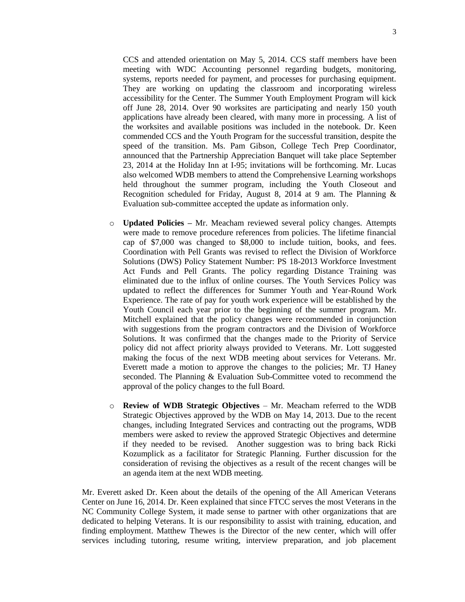CCS and attended orientation on May 5, 2014. CCS staff members have been meeting with WDC Accounting personnel regarding budgets, monitoring, systems, reports needed for payment, and processes for purchasing equipment. They are working on updating the classroom and incorporating wireless accessibility for the Center. The Summer Youth Employment Program will kick off June 28, 2014. Over 90 worksites are participating and nearly 150 youth applications have already been cleared, with many more in processing. A list of the worksites and available positions was included in the notebook. Dr. Keen commended CCS and the Youth Program for the successful transition, despite the speed of the transition. Ms. Pam Gibson, College Tech Prep Coordinator, announced that the Partnership Appreciation Banquet will take place September 23, 2014 at the Holiday Inn at I-95; invitations will be forthcoming. Mr. Lucas also welcomed WDB members to attend the Comprehensive Learning workshops held throughout the summer program, including the Youth Closeout and Recognition scheduled for Friday, August 8, 2014 at 9 am. The Planning & Evaluation sub-committee accepted the update as information only.

- o **Updated Policies –** Mr. Meacham reviewed several policy changes. Attempts were made to remove procedure references from policies. The lifetime financial cap of \$7,000 was changed to \$8,000 to include tuition, books, and fees. Coordination with Pell Grants was revised to reflect the Division of Workforce Solutions (DWS) Policy Statement Number: PS 18-2013 Workforce Investment Act Funds and Pell Grants. The policy regarding Distance Training was eliminated due to the influx of online courses. The Youth Services Policy was updated to reflect the differences for Summer Youth and Year-Round Work Experience. The rate of pay for youth work experience will be established by the Youth Council each year prior to the beginning of the summer program. Mr. Mitchell explained that the policy changes were recommended in conjunction with suggestions from the program contractors and the Division of Workforce Solutions. It was confirmed that the changes made to the Priority of Service policy did not affect priority always provided to Veterans. Mr. Lott suggested making the focus of the next WDB meeting about services for Veterans. Mr. Everett made a motion to approve the changes to the policies; Mr. TJ Haney seconded. The Planning & Evaluation Sub-Committee voted to recommend the approval of the policy changes to the full Board.
- o **Review of WDB Strategic Objectives** Mr. Meacham referred to the WDB Strategic Objectives approved by the WDB on May 14, 2013. Due to the recent changes, including Integrated Services and contracting out the programs, WDB members were asked to review the approved Strategic Objectives and determine if they needed to be revised. Another suggestion was to bring back Ricki Kozumplick as a facilitator for Strategic Planning. Further discussion for the consideration of revising the objectives as a result of the recent changes will be an agenda item at the next WDB meeting.

Mr. Everett asked Dr. Keen about the details of the opening of the All American Veterans Center on June 16, 2014. Dr. Keen explained that since FTCC serves the most Veterans in the NC Community College System, it made sense to partner with other organizations that are dedicated to helping Veterans. It is our responsibility to assist with training, education, and finding employment. Matthew Thewes is the Director of the new center, which will offer services including tutoring, resume writing, interview preparation, and job placement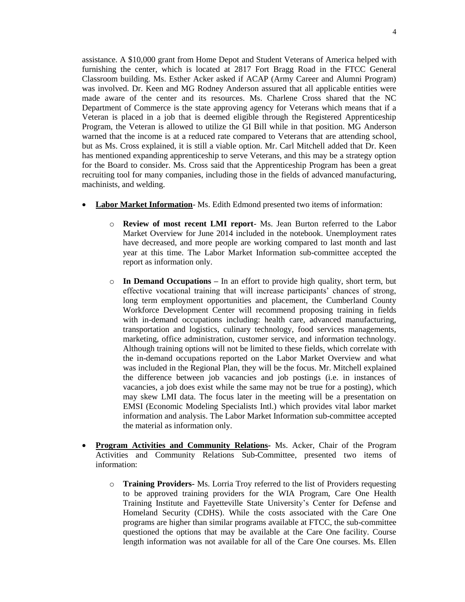assistance. A \$10,000 grant from Home Depot and Student Veterans of America helped with furnishing the center, which is located at 2817 Fort Bragg Road in the FTCC General Classroom building. Ms. Esther Acker asked if ACAP (Army Career and Alumni Program) was involved. Dr. Keen and MG Rodney Anderson assured that all applicable entities were made aware of the center and its resources. Ms. Charlene Cross shared that the NC Department of Commerce is the state approving agency for Veterans which means that if a Veteran is placed in a job that is deemed eligible through the Registered Apprenticeship Program, the Veteran is allowed to utilize the GI Bill while in that position. MG Anderson warned that the income is at a reduced rate compared to Veterans that are attending school, but as Ms. Cross explained, it is still a viable option. Mr. Carl Mitchell added that Dr. Keen has mentioned expanding apprenticeship to serve Veterans, and this may be a strategy option for the Board to consider. Ms. Cross said that the Apprenticeship Program has been a great recruiting tool for many companies, including those in the fields of advanced manufacturing, machinists, and welding.

- **Labor Market Information** Ms. Edith Edmond presented two items of information:
	- o **Review of most recent LMI report** Ms. Jean Burton referred to the Labor Market Overview for June 2014 included in the notebook. Unemployment rates have decreased, and more people are working compared to last month and last year at this time. The Labor Market Information sub-committee accepted the report as information only.
	- o **In Demand Occupations –** In an effort to provide high quality, short term, but effective vocational training that will increase participants' chances of strong, long term employment opportunities and placement, the Cumberland County Workforce Development Center will recommend proposing training in fields with in-demand occupations including: health care, advanced manufacturing, transportation and logistics, culinary technology, food services managements, marketing, office administration, customer service, and information technology. Although training options will not be limited to these fields, which correlate with the in-demand occupations reported on the Labor Market Overview and what was included in the Regional Plan, they will be the focus. Mr. Mitchell explained the difference between job vacancies and job postings (i.e. in instances of vacancies, a job does exist while the same may not be true for a posting), which may skew LMI data. The focus later in the meeting will be a presentation on EMSI (Economic Modeling Specialists Intl.) which provides vital labor market information and analysis. The Labor Market Information sub-committee accepted the material as information only.
- **Program Activities and Community Relations-** Ms. Acker, Chair of the Program Activities and Community Relations Sub-Committee, presented two items of information:
	- o **Training Providers-** Ms. Lorria Troy referred to the list of Providers requesting to be approved training providers for the WIA Program, Care One Health Training Institute and Fayetteville State University's Center for Defense and Homeland Security (CDHS). While the costs associated with the Care One programs are higher than similar programs available at FTCC, the sub-committee questioned the options that may be available at the Care One facility. Course length information was not available for all of the Care One courses. Ms. Ellen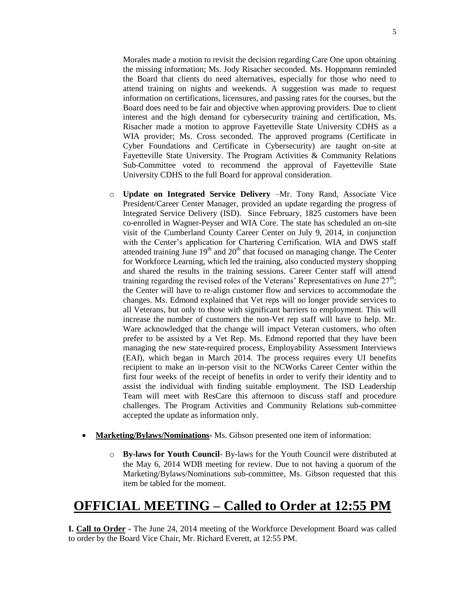Morales made a motion to revisit the decision regarding Care One upon obtaining the missing information; Ms. Jody Risacher seconded. Ms. Hoppmann reminded the Board that clients do need alternatives, especially for those who need to attend training on nights and weekends. A suggestion was made to request information on certifications, licensures, and passing rates for the courses, but the Board does need to be fair and objective when approving providers. Due to client interest and the high demand for cybersecurity training and certification, Ms. Risacher made a motion to approve Fayetteville State University CDHS as a WIA provider; Ms. Cross seconded. The approved programs (Certificate in Cyber Foundations and Certificate in Cybersecurity) are taught on-site at Fayetteville State University. The Program Activities & Community Relations Sub-Committee voted to recommend the approval of Fayetteville State University CDHS to the full Board for approval consideration.

- o **Update on Integrated Service Delivery** –Mr. Tony Rand, Associate Vice President/Career Center Manager, provided an update regarding the progress of Integrated Service Delivery (ISD). Since February, 1825 customers have been co-enrolled in Wagner-Peyser and WIA Core. The state has scheduled an on-site visit of the Cumberland County Career Center on July 9, 2014, in conjunction with the Center's application for Chartering Certification. WIA and DWS staff attended training June  $19<sup>th</sup>$  and  $20<sup>th</sup>$  that focused on managing change. The Center for Workforce Learning, which led the training, also conducted mystery shopping and shared the results in the training sessions. Career Center staff will attend training regarding the revised roles of the Veterans' Representatives on June  $27<sup>th</sup>$ ; the Center will have to re-align customer flow and services to accommodate the changes. Ms. Edmond explained that Vet reps will no longer provide services to all Veterans, but only to those with significant barriers to employment. This will increase the number of customers the non-Vet rep staff will have to help. Mr. Ware acknowledged that the change will impact Veteran customers, who often prefer to be assisted by a Vet Rep. Ms. Edmond reported that they have been managing the new state-required process, Employability Assessment Interviews (EAI), which began in March 2014. The process requires every UI benefits recipient to make an in-person visit to the NCWorks Career Center within the first four weeks of the receipt of benefits in order to verify their identity and to assist the individual with finding suitable employment. The ISD Leadership Team will meet with ResCare this afternoon to discuss staff and procedure challenges. The Program Activities and Community Relations sub-committee accepted the update as information only.
- **Marketing/Bylaws/Nominations-** Ms. Gibson presented one item of information:
	- o **By-laws for Youth Council** By-laws for the Youth Council were distributed at the May 6, 2014 WDB meeting for review. Due to not having a quorum of the Marketing/Bylaws/Nominations sub-committee, Ms. Gibson requested that this item be tabled for the moment.

## **OFFICIAL MEETING – Called to Order at 12:55 PM**

**I. Call to Order -** The June 24, 2014 meeting of the Workforce Development Board was called to order by the Board Vice Chair, Mr. Richard Everett, at 12:55 PM.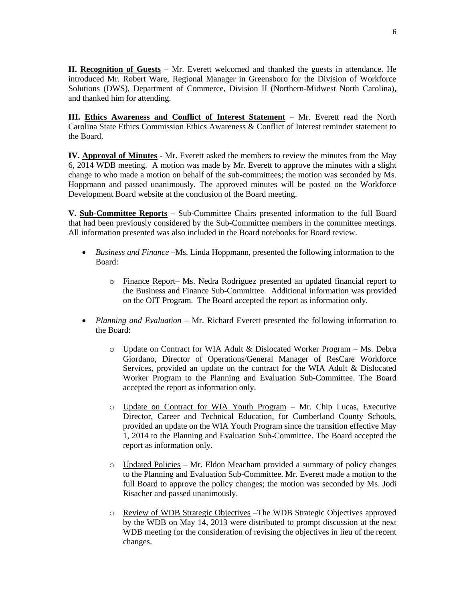**II. Recognition of Guests** – Mr. Everett welcomed and thanked the guests in attendance. He introduced Mr. Robert Ware, Regional Manager in Greensboro for the Division of Workforce Solutions (DWS), Department of Commerce, Division II (Northern-Midwest North Carolina), and thanked him for attending.

**III. Ethics Awareness and Conflict of Interest Statement** – Mr. Everett read the North Carolina State Ethics Commission Ethics Awareness & Conflict of Interest reminder statement to the Board.

**IV. Approval of Minutes -** Mr. Everett asked the members to review the minutes from the May 6, 2014 WDB meeting. A motion was made by Mr. Everett to approve the minutes with a slight change to who made a motion on behalf of the sub-committees; the motion was seconded by Ms. Hoppmann and passed unanimously. The approved minutes will be posted on the Workforce Development Board website at the conclusion of the Board meeting.

**V. Sub-Committee Reports –** Sub-Committee Chairs presented information to the full Board that had been previously considered by the Sub-Committee members in the committee meetings. All information presented was also included in the Board notebooks for Board review.

- *Business and Finance –*Ms. Linda Hoppmann, presented the following information to the Board:
	- o Finance Report– Ms. Nedra Rodriguez presented an updated financial report to the Business and Finance Sub-Committee. Additional information was provided on the OJT Program. The Board accepted the report as information only.
- *Planning and Evaluation* Mr. Richard Everett presented the following information to the Board:
	- o Update on Contract for WIA Adult & Dislocated Worker Program Ms. Debra Giordano, Director of Operations/General Manager of ResCare Workforce Services, provided an update on the contract for the WIA Adult & Dislocated Worker Program to the Planning and Evaluation Sub-Committee. The Board accepted the report as information only.
	- o Update on Contract for WIA Youth Program Mr. Chip Lucas, Executive Director, Career and Technical Education, for Cumberland County Schools, provided an update on the WIA Youth Program since the transition effective May 1, 2014 to the Planning and Evaluation Sub-Committee. The Board accepted the report as information only.
	- $\circ$  Updated Policies Mr. Eldon Meacham provided a summary of policy changes to the Planning and Evaluation Sub-Committee. Mr. Everett made a motion to the full Board to approve the policy changes; the motion was seconded by Ms. Jodi Risacher and passed unanimously.
	- o Review of WDB Strategic Objectives –The WDB Strategic Objectives approved by the WDB on May 14, 2013 were distributed to prompt discussion at the next WDB meeting for the consideration of revising the objectives in lieu of the recent changes.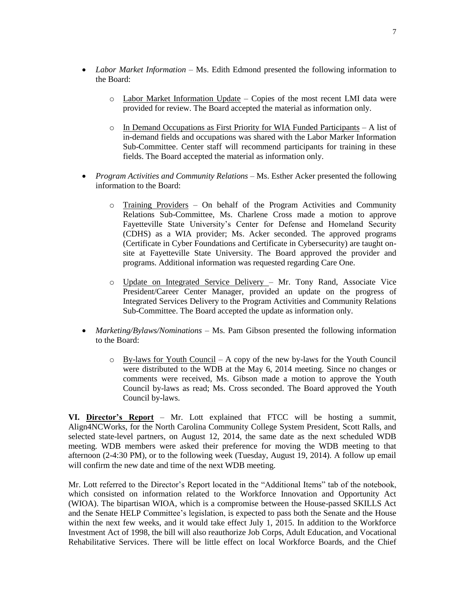- *Labor Market Information* Ms. Edith Edmond presented the following information to the Board:
	- $\circ$  Labor Market Information Update Copies of the most recent LMI data were provided for review. The Board accepted the material as information only.
	- $\circ$  In Demand Occupations as First Priority for WIA Funded Participants A list of in-demand fields and occupations was shared with the Labor Marker Information Sub-Committee. Center staff will recommend participants for training in these fields. The Board accepted the material as information only.
- *Program Activities and Community Relations –* Ms. Esther Acker presented the following information to the Board:
	- o Training Providers On behalf of the Program Activities and Community Relations Sub-Committee, Ms. Charlene Cross made a motion to approve Fayetteville State University's Center for Defense and Homeland Security (CDHS) as a WIA provider; Ms. Acker seconded. The approved programs (Certificate in Cyber Foundations and Certificate in Cybersecurity) are taught onsite at Fayetteville State University. The Board approved the provider and programs. Additional information was requested regarding Care One.
	- o Update on Integrated Service Delivery Mr. Tony Rand, Associate Vice President/Career Center Manager, provided an update on the progress of Integrated Services Delivery to the Program Activities and Community Relations Sub-Committee. The Board accepted the update as information only.
- *Marketing/Bylaws/Nominations –* Ms. Pam Gibson presented the following information to the Board:
	- $\circ$  By-laws for Youth Council A copy of the new by-laws for the Youth Council were distributed to the WDB at the May 6, 2014 meeting. Since no changes or comments were received, Ms. Gibson made a motion to approve the Youth Council by-laws as read; Ms. Cross seconded. The Board approved the Youth Council by-laws.

**VI. Director's Report** – Mr. Lott explained that FTCC will be hosting a summit, Align4NCWorks, for the North Carolina Community College System President, Scott Ralls, and selected state-level partners, on August 12, 2014, the same date as the next scheduled WDB meeting. WDB members were asked their preference for moving the WDB meeting to that afternoon (2-4:30 PM), or to the following week (Tuesday, August 19, 2014). A follow up email will confirm the new date and time of the next WDB meeting.

Mr. Lott referred to the Director's Report located in the "Additional Items" tab of the notebook, which consisted on information related to the Workforce Innovation and Opportunity Act (WIOA). The bipartisan WIOA, which is a compromise between the House-passed SKILLS Act and the Senate HELP Committee's legislation, is expected to pass both the Senate and the House within the next few weeks, and it would take effect July 1, 2015. In addition to the Workforce Investment Act of 1998, the bill will also reauthorize Job Corps, Adult Education, and Vocational Rehabilitative Services. There will be little effect on local Workforce Boards, and the Chief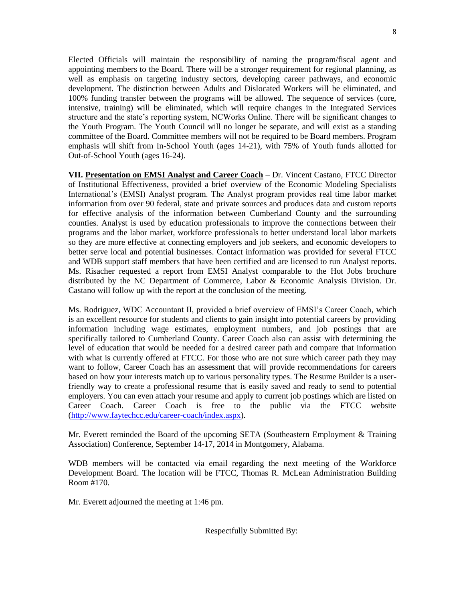8

Elected Officials will maintain the responsibility of naming the program/fiscal agent and appointing members to the Board. There will be a stronger requirement for regional planning, as well as emphasis on targeting industry sectors, developing career pathways, and economic development. The distinction between Adults and Dislocated Workers will be eliminated, and 100% funding transfer between the programs will be allowed. The sequence of services (core, intensive, training) will be eliminated, which will require changes in the Integrated Services structure and the state's reporting system, NCWorks Online. There will be significant changes to the Youth Program. The Youth Council will no longer be separate, and will exist as a standing committee of the Board. Committee members will not be required to be Board members. Program emphasis will shift from In-School Youth (ages 14-21), with 75% of Youth funds allotted for Out-of-School Youth (ages 16-24).

**VII. Presentation on EMSI Analyst and Career Coach** – Dr. Vincent Castano, FTCC Director of Institutional Effectiveness, provided a brief overview of the Economic Modeling Specialists International's (EMSI) Analyst program. The Analyst program provides real time labor market information from over 90 federal, state and private sources and produces data and custom reports for effective analysis of the information between Cumberland County and the surrounding counties. Analyst is used by education professionals to improve the connections between their programs and the labor market, workforce professionals to better understand local labor markets so they are more effective at connecting employers and job seekers, and economic developers to better serve local and potential businesses. Contact information was provided for several FTCC and WDB support staff members that have been certified and are licensed to run Analyst reports. Ms. Risacher requested a report from EMSI Analyst comparable to the Hot Jobs brochure distributed by the NC Department of Commerce, Labor & Economic Analysis Division. Dr. Castano will follow up with the report at the conclusion of the meeting.

Ms. Rodriguez, WDC Accountant II, provided a brief overview of EMSI's Career Coach, which is an excellent resource for students and clients to gain insight into potential careers by providing information including wage estimates, employment numbers, and job postings that are specifically tailored to Cumberland County. Career Coach also can assist with determining the level of education that would be needed for a desired career path and compare that information with what is currently offered at FTCC. For those who are not sure which career path they may want to follow, Career Coach has an assessment that will provide recommendations for careers based on how your interests match up to various personality types. The Resume Builder is a userfriendly way to create a professional resume that is easily saved and ready to send to potential employers. You can even attach your resume and apply to current job postings which are listed on Career Coach. Career Coach is free to the public via the FTCC website [\(http://www.faytechcc.edu/career-coach/index.aspx\)](http://www.faytechcc.edu/career-coach/index.aspx).

Mr. Everett reminded the Board of the upcoming SETA (Southeastern Employment & Training Association) Conference, September 14-17, 2014 in Montgomery, Alabama.

WDB members will be contacted via email regarding the next meeting of the Workforce Development Board. The location will be FTCC, Thomas R. McLean Administration Building Room #170.

Mr. Everett adjourned the meeting at 1:46 pm.

Respectfully Submitted By: